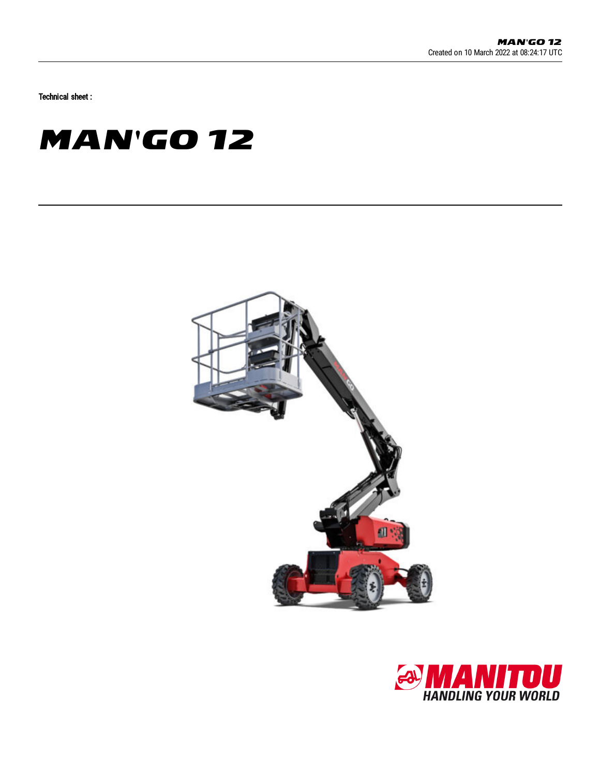Technical sheet :

## **MAN'GO 12**



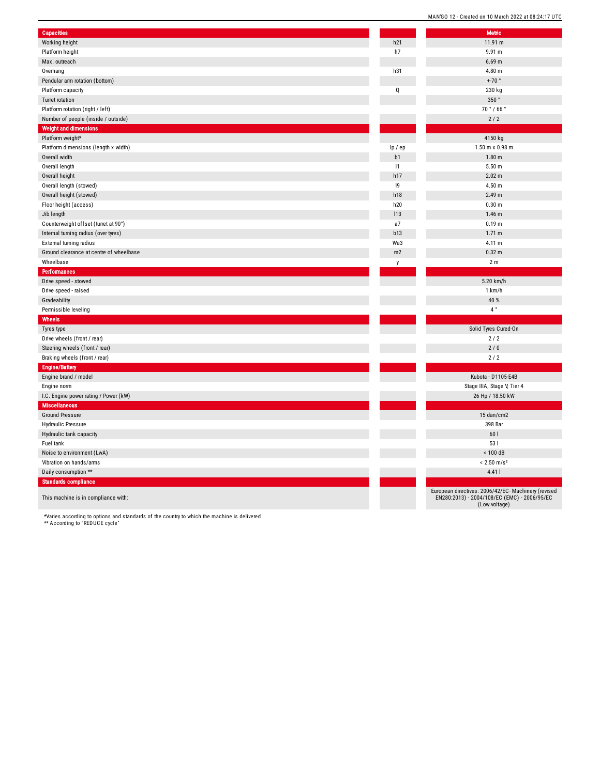| <b>Capacities</b>                                    |         | <b>Metric</b>                        |
|------------------------------------------------------|---------|--------------------------------------|
| Working height                                       | h21     | 11.91 m                              |
| Platform height                                      | h7      | 9.91 m                               |
| Max. outreach                                        |         | 6.69 <sub>m</sub>                    |
| Overhang                                             | h31     | 4.80 m                               |
| Pendular arm rotation (bottom)                       |         | $+70$ $^{\circ}$                     |
| Platform capacity                                    | Q       | 230 kg                               |
| Turret rotation                                      |         | 350°                                 |
| Platform rotation (right / left)                     |         | 70°/66°                              |
| Number of people (inside / outside)                  |         | 2/2                                  |
| <b>Weight and dimensions</b>                         |         |                                      |
| Platform weight*                                     |         | 4150 kg                              |
| Platform dimensions (length x width)                 | lp / ep | $1.50$ m x $0.98$ m                  |
| Overall width                                        | b1      | 1.80 <sub>m</sub>                    |
| Overall length                                       | 1       | 5.50 <sub>m</sub>                    |
| Overall height                                       | h17     | 2.02 m                               |
| Overall length (stowed)                              | 9       | 4.50 m                               |
| Overall height (stowed)                              | h18     | 2.49 m                               |
| Floor height (access)                                | h20     | 0.30 <sub>m</sub>                    |
| Jib length                                           | 113     | $1.46$ m                             |
| Counterweight offset (turret at 90°)                 | a7      | 0.19 m                               |
| Internal turning radius (over tyres)                 | b13     | 1.71 m                               |
| External turning radius                              | Wa3     | 4.11 m                               |
| Ground clearance at centre of wheelbase              | m2      | 0.32 <sub>m</sub>                    |
| Wheelbase                                            | y       | 2 <sub>m</sub>                       |
| Performances                                         |         |                                      |
| Drive speed - stowed                                 |         | 5.20 km/h                            |
| Drive speed - raised                                 |         | 1 km/h                               |
| Gradeability                                         |         | 40 %                                 |
| Permissible leveling                                 |         | $4^{\circ}$                          |
| Wheels                                               |         |                                      |
| Tyres type                                           |         | Solid Tyres Cured-On                 |
| Drive wheels (front / rear)                          |         | 2/2                                  |
| Steering wheels (front / rear)                       |         | 2/0                                  |
| Braking wheels (front / rear)                        |         | 2/2                                  |
| <b>Engine/Battery</b>                                |         |                                      |
| Engine brand / model                                 |         | Kubota - D1105-E4B                   |
| Engine norm                                          |         | Stage IIIA, Stage V, Tier 4          |
| I.C. Engine power rating / Power (kW)                |         | 26 Hp / 18.50 kW                     |
| <b>Miscellaneous</b>                                 |         |                                      |
| <b>Ground Pressure</b>                               |         | 15 dan/cm2                           |
|                                                      |         | 398 Bar                              |
| <b>Hydraulic Pressure</b><br>Hydraulic tank capacity |         | 60                                   |
| Fuel tank                                            |         | 531                                  |
|                                                      |         | < 100 dB                             |
| Noise to environment (LwA)                           |         | $< 2.50$ m/s <sup>2</sup>            |
| Vibration on hands/arms                              |         | 4.411                                |
| Daily consumption **                                 |         |                                      |
| <b>Standards compliance</b>                          |         |                                      |
| made as a state of the top of                        |         | European directives: 2006/42/EC-Mach |

MAN'GO 12 - Created on 10 March 2022 at 08:24:17 UTC

European directives: 2006/42/EC- Machinery (revised EN280:2013) - 2004/108/EC (EMC) - 2006/95/EC (Low voltage)

This machine is in compliance with:

\*Varies according to options and standards of the country to which the machine is delivered \*\* According to "REDUCE cycle"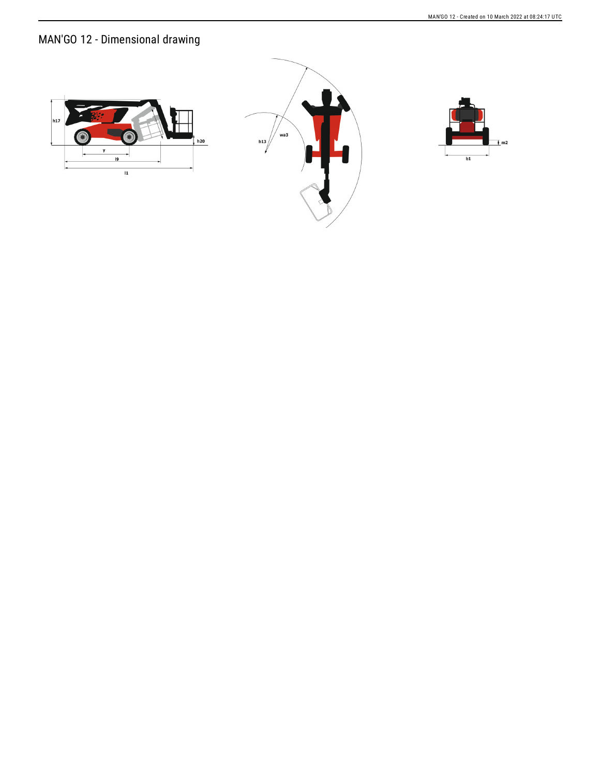## MAN'GO 12 - Dimensional drawing





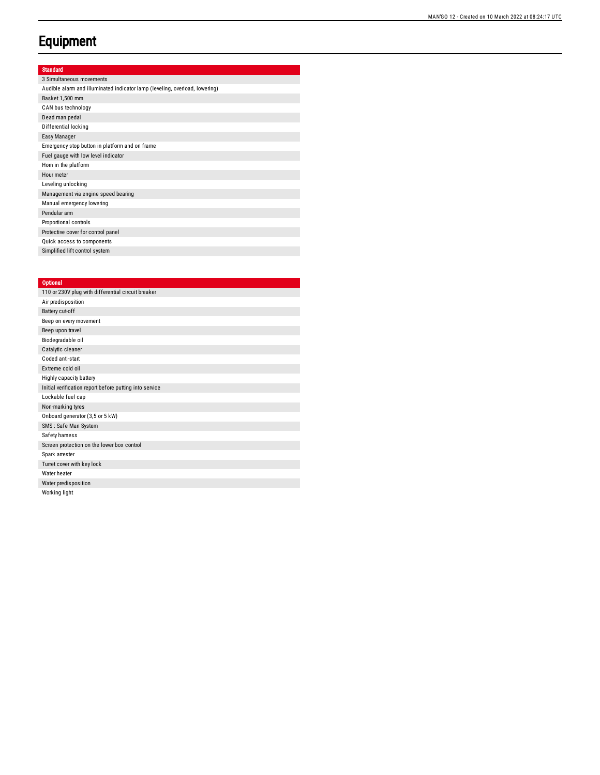## **Equipment**

| Standard                                                                    |
|-----------------------------------------------------------------------------|
| 3 Simultaneous movements                                                    |
| Audible alarm and illuminated indicator lamp (leveling, overload, lowering) |
| Basket 1,500 mm                                                             |
| CAN bus technology                                                          |
| Dead man pedal                                                              |
| Differential locking                                                        |
| Easy Manager                                                                |
| Emergency stop button in platform and on frame                              |
| Fuel gauge with low level indicator                                         |
| Hom in the platform                                                         |
| Hour meter                                                                  |
| Leveling unlocking                                                          |
| Management via engine speed bearing                                         |
| Manual emergency lowering                                                   |
| Pendular arm                                                                |
| Proportional controls                                                       |
| Protective cover for control panel                                          |
| Quick access to components                                                  |
| Simplified lift control system                                              |
|                                                                             |

## **Optional**

| 110 or 230V plug with differential circuit breaker      |
|---------------------------------------------------------|
| Air predisposition                                      |
| Battery cut-off                                         |
| Beep on every movement                                  |
| Beep upon travel                                        |
| Biodegradable oil                                       |
| Catalytic cleaner                                       |
| Coded anti-start                                        |
| Extreme cold oil                                        |
| Highly capacity battery                                 |
| Initial verification report before putting into service |
| Lockable fuel cap                                       |
| Non-marking tyres                                       |
| Onboard generator (3,5 or 5 kW)                         |
| SMS: Safe Man System                                    |
| Safety hamess                                           |
| Screen protection on the lower box control              |
| Spark arrester                                          |
| Turret cover with key lock                              |
| Water heater                                            |
| Water predisposition                                    |
| Working light                                           |